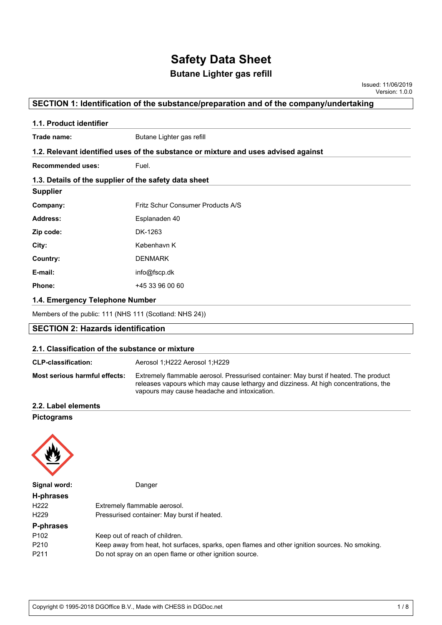## **Butane Lighter gas refill**

Issued: 11/06/2019 Version: 1.0.0

### **SECTION 1: Identification of the substance/preparation and of the company/undertaking**

| 1.1. Product identifier                               |                                                                                    |  |  |  |
|-------------------------------------------------------|------------------------------------------------------------------------------------|--|--|--|
| Trade name:                                           | Butane Lighter gas refill                                                          |  |  |  |
|                                                       | 1.2. Relevant identified uses of the substance or mixture and uses advised against |  |  |  |
| <b>Recommended uses:</b>                              | Fuel.                                                                              |  |  |  |
| 1.3. Details of the supplier of the safety data sheet |                                                                                    |  |  |  |
| <b>Supplier</b>                                       |                                                                                    |  |  |  |
| Company:                                              | Fritz Schur Consumer Products A/S                                                  |  |  |  |
| <b>Address:</b>                                       | Esplanaden 40                                                                      |  |  |  |
| Zip code:                                             | DK-1263                                                                            |  |  |  |
| City:                                                 | København K                                                                        |  |  |  |
| Country:                                              | <b>DENMARK</b>                                                                     |  |  |  |
| E-mail:                                               | info@fscp.dk                                                                       |  |  |  |
| Phone:                                                | +45 33 96 00 60                                                                    |  |  |  |
| 1.4. Emergency Telephone Number                       |                                                                                    |  |  |  |

Members of the public: 111 (NHS 111 (Scotland: NHS 24))

### **SECTION 2: Hazards identification**

#### **2.1. Classification of the substance or mixture**

| <b>CLP-classification:</b>    | Aerosol 1;H222 Aerosol 1;H229                                                                                                                                                                                                |  |  |
|-------------------------------|------------------------------------------------------------------------------------------------------------------------------------------------------------------------------------------------------------------------------|--|--|
| Most serious harmful effects: | Extremely flammable aerosol. Pressurised container: May burst if heated. The product<br>releases vapours which may cause lethargy and dizziness. At high concentrations, the<br>vapours may cause headache and intoxication. |  |  |

#### **2.2. Label elements**

#### **Pictograms**



**Signal word:** Danger

| H-phrases        |                                                                                                |
|------------------|------------------------------------------------------------------------------------------------|
| H <sub>222</sub> | Extremely flammable aerosol.                                                                   |
| H <sub>229</sub> | Pressurised container: May burst if heated.                                                    |
| P-phrases        |                                                                                                |
| P <sub>102</sub> | Keep out of reach of children.                                                                 |
| P210             | Keep away from heat, hot surfaces, sparks, open flames and other ignition sources. No smoking. |
| P211             | Do not spray on an open flame or other ignition source.                                        |
|                  |                                                                                                |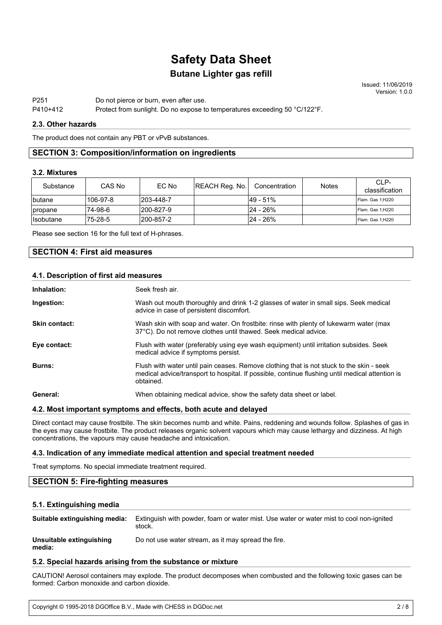# **Butane Lighter gas refill Safety Data Sheet**

Issued: 11/06/2019 Version: 1.0.0

P251 Do not pierce or burn, even after use.

#### P410+412 Protect from sunlight. Do no expose to temperatures exceeding 50 °C/122°F.

#### **2.3. Other hazards**

The product does not contain any PBT or vPvB substances.

#### **SECTION 3: Composition/information on ingredients**

#### **3.2. Mixtures**

| Substance               | CAS No    | EC No      | <b>REACH Reg. No.</b> | Concentration | <b>Notes</b> | CLP-<br>classification |
|-------------------------|-----------|------------|-----------------------|---------------|--------------|------------------------|
| <i>Ibutane</i>          | l106-97-8 | 1203-448-7 |                       | l49 - 51%     |              | Flam. Gas 1:H220       |
| <i>propane</i>          | 74-98-6   | l200-827-9 |                       | l24 - 26%     |              | Flam. Gas 1:H220       |
| <i><b>Isobutane</b></i> | '75-28-5  | l200-857-2 |                       | l24 - 26%     |              | Flam. Gas 1;H220       |

Please see section 16 for the full text of H-phrases.

#### **SECTION 4: First aid measures**

#### **4.1. Description of first aid measures**

| Inhalation:   | Seek fresh air.                                                                                                                                                                                          |
|---------------|----------------------------------------------------------------------------------------------------------------------------------------------------------------------------------------------------------|
| Ingestion:    | Wash out mouth thoroughly and drink 1-2 glasses of water in small sips. Seek medical<br>advice in case of persistent discomfort.                                                                         |
| Skin contact: | Wash skin with soap and water. On frostbite: rinse with plenty of lukewarm water (max<br>37°C). Do not remove clothes until thawed. Seek medical advice.                                                 |
| Eye contact:  | Flush with water (preferably using eye wash equipment) until irritation subsides. Seek<br>medical advice if symptoms persist.                                                                            |
| Burns:        | Flush with water until pain ceases. Remove clothing that is not stuck to the skin - seek<br>medical advice/transport to hospital. If possible, continue flushing until medical attention is<br>obtained. |
| General:      | When obtaining medical advice, show the safety data sheet or label.                                                                                                                                      |

#### **4.2. Most important symptoms and effects, both acute and delayed**

Direct contact may cause frostbite. The skin becomes numb and white. Pains, reddening and wounds follow. Splashes of gas in the eyes may cause frostbite. The product releases organic solvent vapours which may cause lethargy and dizziness. At high concentrations, the vapours may cause headache and intoxication.

#### **4.3. Indication of any immediate medical attention and special treatment needed**

Treat symptoms. No special immediate treatment required.

#### **SECTION 5: Fire-fighting measures**

#### **5.1. Extinguishing media**

| Suitable extinguishing media:      | Extinguish with powder, foam or water mist. Use water or water mist to cool non-ignited<br>stock. |
|------------------------------------|---------------------------------------------------------------------------------------------------|
| Unsuitable extinguishing<br>media: | Do not use water stream, as it may spread the fire.                                               |

#### **5.2. Special hazards arising from the substance or mixture**

CAUTION! Aerosol containers may explode. The product decomposes when combusted and the following toxic gases can be formed: Carbon monoxide and carbon dioxide.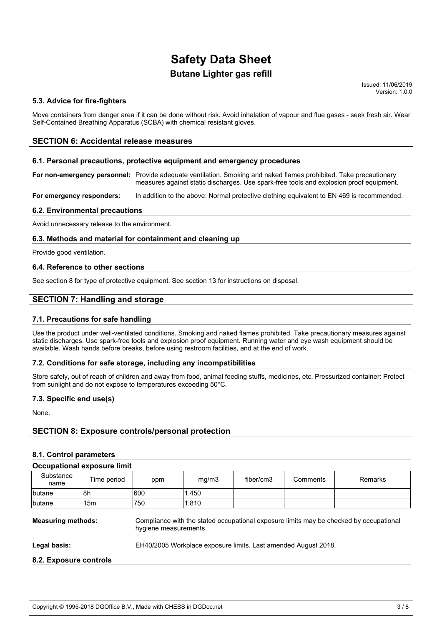## **Butane Lighter gas refill**

Issued: 11/06/2019 Version: 1.0.0

#### **5.3. Advice for fire-fighters**

Move containers from danger area if it can be done without risk. Avoid inhalation of vapour and flue gases - seek fresh air. Wear Self-Contained Breathing Apparatus (SCBA) with chemical resistant gloves.

#### **SECTION 6: Accidental release measures**

#### **6.1. Personal precautions, protective equipment and emergency procedures**

**For non-emergency personnel:** Provide adequate ventilation. Smoking and naked flames prohibited. Take precautionary measures against static discharges. Use spark-free tools and explosion proof equipment.

**For emergency responders:** In addition to the above: Normal protective clothing equivalent to EN 469 is recommended.

#### **6.2. Environmental precautions**

Avoid unnecessary release to the environment.

#### **6.3. Methods and material for containment and cleaning up**

Provide good ventilation.

#### **6.4. Reference to other sections**

See section 8 for type of protective equipment. See section 13 for instructions on disposal.

#### **SECTION 7: Handling and storage**

#### **7.1. Precautions for safe handling**

Use the product under well-ventilated conditions. Smoking and naked flames prohibited. Take precautionary measures against static discharges. Use spark-free tools and explosion proof equipment. Running water and eye wash equipment should be available. Wash hands before breaks, before using restroom facilities, and at the end of work.

#### **7.2. Conditions for safe storage, including any incompatibilities**

Store safely, out of reach of children and away from food, animal feeding stuffs, medicines, etc. Pressurized container: Protect from sunlight and do not expose to temperatures exceeding 50°C.

#### **7.3. Specific end use(s)**

None.

#### **SECTION 8: Exposure controls/personal protection**

#### **8.1. Control parameters**

#### **Occupational exposure limit**

| Substance<br>name | Time period | ppm  | mg/m3  | fiber/cm3 | Comments | Remarks |
|-------------------|-------------|------|--------|-----------|----------|---------|
| butane            | l8h         | 1600 | 1.450  |           |          |         |
| <b>Ibutane</b>    | 15m         | 750  | '1.810 |           |          |         |

**Measuring methods:** Compliance with the stated occupational exposure limits may be checked by occupational hygiene measurements. **Legal basis:** EH40/2005 Workplace exposure limits. Last amended August 2018. **8.2. Exposure controls**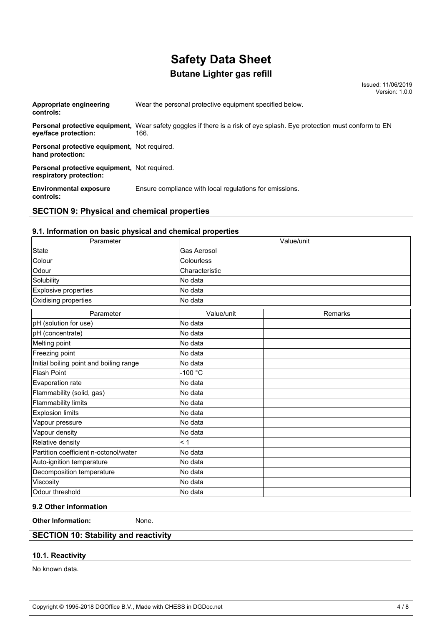# **Butane Lighter gas refill**

Issued: 11/06/2019 Version: 1.0.0

| $\mathsf{A} \mathsf{F} \mathsf{A} \mathsf{F} \mathsf{I} \mathsf{A} \mathsf{I} \mathsf{I} \mathsf{I} \mathsf{I} \mathsf{I} \mathsf{I} \mathsf{I} \mathsf{I} \mathsf{I} \mathsf{I} \mathsf{I} \mathsf{I} \mathsf{I} \mathsf{I} \mathsf{I} \mathsf{I} \mathsf{I} \mathsf{I} \mathsf{I} \mathsf{I} \mathsf{I} \mathsf{I} \mathsf{I} \mathsf{I} \mathsf{I} \mathsf{I} \mathsf{I} \mathsf{I} \mathsf{I} \mathsf{I} \mathsf{$ |                                                                                                                                |
|------------------------------------------------------------------------------------------------------------------------------------------------------------------------------------------------------------------------------------------------------------------------------------------------------------------------------------------------------------------------------------------------------------------------|--------------------------------------------------------------------------------------------------------------------------------|
| <b>Environmental exposure</b><br>controls:                                                                                                                                                                                                                                                                                                                                                                             | Ensure compliance with local regulations for emissions.                                                                        |
| <b>Personal protective equipment.</b> Not required.<br>respiratory protection:                                                                                                                                                                                                                                                                                                                                         |                                                                                                                                |
| Personal protective equipment, Not required.<br>hand protection:                                                                                                                                                                                                                                                                                                                                                       |                                                                                                                                |
| eye/face protection:                                                                                                                                                                                                                                                                                                                                                                                                   | Personal protective equipment, Wear safety goggles if there is a risk of eye splash. Eye protection must conform to EN<br>166. |
| Appropriate engineering<br>controls:                                                                                                                                                                                                                                                                                                                                                                                   | Wear the personal protective equipment specified below.                                                                        |

### **SECTION 9: Physical and chemical properties**

#### **9.1. Information on basic physical and chemical properties**

| Parameter                               |                | Value/unit |  |  |
|-----------------------------------------|----------------|------------|--|--|
| <b>State</b>                            | Gas Aerosol    |            |  |  |
| Colour                                  | Colourless     |            |  |  |
| Odour                                   | Characteristic |            |  |  |
| Solubility                              | No data        |            |  |  |
| Explosive properties                    | No data        |            |  |  |
| Oxidising properties                    | No data        |            |  |  |
| Parameter                               | Value/unit     | Remarks    |  |  |
| pH (solution for use)                   | No data        |            |  |  |
| pH (concentrate)                        | No data        |            |  |  |
| Melting point                           | No data        |            |  |  |
| Freezing point                          | No data        |            |  |  |
| Initial boiling point and boiling range | No data        |            |  |  |
| <b>Flash Point</b>                      | $-100 °C$      |            |  |  |
| Evaporation rate                        | No data        |            |  |  |
| Flammability (solid, gas)               | No data        |            |  |  |
| <b>Flammability limits</b>              | No data        |            |  |  |
| <b>Explosion limits</b>                 | No data        |            |  |  |
| Vapour pressure                         | No data        |            |  |  |
| Vapour density                          | No data        |            |  |  |
| Relative density                        | < 1            |            |  |  |
| Partition coefficient n-octonol/water   | No data        |            |  |  |
| Auto-ignition temperature               | No data        |            |  |  |
| Decomposition temperature               | No data        |            |  |  |
| Viscosity                               | No data        |            |  |  |
| Odour threshold                         | No data        |            |  |  |

#### **9.2 Other information**

**Other Information:** None.

## **SECTION 10: Stability and reactivity**

### **10.1. Reactivity**

No known data.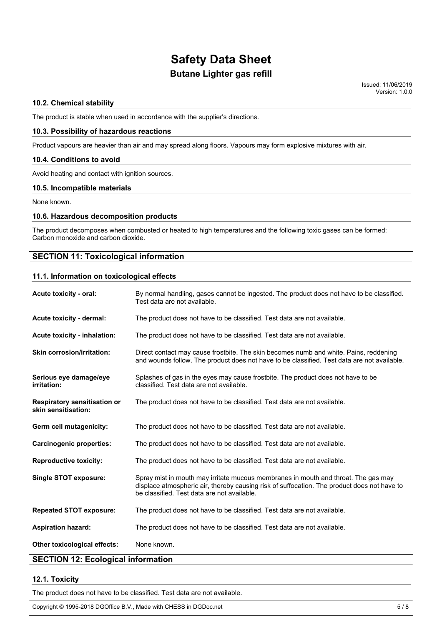# **Butane Lighter gas refill Safety Data Sheet**

Issued: 11/06/2019 Version: 1.0.0

#### **10.2. Chemical stability**

The product is stable when used in accordance with the supplier's directions.

#### **10.3. Possibility of hazardous reactions**

Product vapours are heavier than air and may spread along floors. Vapours may form explosive mixtures with air.

#### **10.4. Conditions to avoid**

Avoid heating and contact with ignition sources.

#### **10.5. Incompatible materials**

None known.

#### **10.6. Hazardous decomposition products**

The product decomposes when combusted or heated to high temperatures and the following toxic gases can be formed: Carbon monoxide and carbon dioxide.

#### **SECTION 11: Toxicological information**

#### **11.1. Information on toxicological effects**

| Acute toxicity - oral:                                     | By normal handling, gases cannot be ingested. The product does not have to be classified.<br>Test data are not available.                                                                                                        |  |  |
|------------------------------------------------------------|----------------------------------------------------------------------------------------------------------------------------------------------------------------------------------------------------------------------------------|--|--|
| Acute toxicity - dermal:                                   | The product does not have to be classified. Test data are not available.                                                                                                                                                         |  |  |
| Acute toxicity - inhalation:                               | The product does not have to be classified. Test data are not available.                                                                                                                                                         |  |  |
| <b>Skin corrosion/irritation:</b>                          | Direct contact may cause frostbite. The skin becomes numb and white. Pains, reddening<br>and wounds follow. The product does not have to be classified. Test data are not available.                                             |  |  |
| Serious eye damage/eye<br>irritation:                      | Splashes of gas in the eyes may cause frostbite. The product does not have to be<br>classified. Test data are not available.                                                                                                     |  |  |
| <b>Respiratory sensitisation or</b><br>skin sensitisation: | The product does not have to be classified. Test data are not available.                                                                                                                                                         |  |  |
| Germ cell mutagenicity:                                    | The product does not have to be classified. Test data are not available.                                                                                                                                                         |  |  |
| <b>Carcinogenic properties:</b>                            | The product does not have to be classified. Test data are not available.                                                                                                                                                         |  |  |
| <b>Reproductive toxicity:</b>                              | The product does not have to be classified. Test data are not available.                                                                                                                                                         |  |  |
| <b>Single STOT exposure:</b>                               | Spray mist in mouth may irritate mucous membranes in mouth and throat. The gas may<br>displace atmospheric air, thereby causing risk of suffocation. The product does not have to<br>be classified. Test data are not available. |  |  |
| <b>Repeated STOT exposure:</b>                             | The product does not have to be classified. Test data are not available.                                                                                                                                                         |  |  |
| <b>Aspiration hazard:</b>                                  | The product does not have to be classified. Test data are not available.                                                                                                                                                         |  |  |
| Other toxicological effects:                               | None known.                                                                                                                                                                                                                      |  |  |

## **SECTION 12: Ecological information**

#### **12.1. Toxicity**

The product does not have to be classified. Test data are not available.

Copyright © 1995-2018 DGOffice B.V., Made with CHESS in DGDoc.net 5/8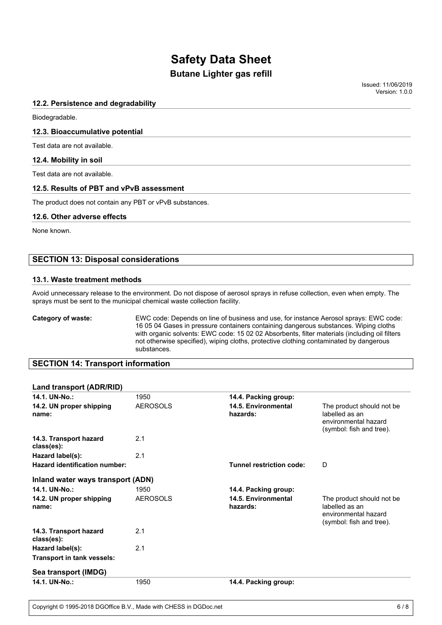## **Butane Lighter gas refill**

Issued: 11/06/2019 Version: 1.0.0

#### **12.2. Persistence and degradability**

Biodegradable.

#### **12.3. Bioaccumulative potential**

Test data are not available.

#### **12.4. Mobility in soil**

Test data are not available.

#### **12.5. Results of PBT and vPvB assessment**

The product does not contain any PBT or vPvB substances.

#### **12.6. Other adverse effects**

None known.

#### **SECTION 13: Disposal considerations**

#### **13.1. Waste treatment methods**

Avoid unnecessary release to the environment. Do not dispose of aerosol sprays in refuse collection, even when empty. The sprays must be sent to the municipal chemical waste collection facility.

**Category of waste:** EWC code: Depends on line of business and use, for instance Aerosol sprays: EWC code: 16 05 04 Gases in pressure containers containing dangerous substances. Wiping cloths with organic solvents: EWC code: 15 02 02 Absorbents, filter materials (including oil filters not otherwise specified), wiping cloths, protective clothing contaminated by dangerous substances.

#### **SECTION 14: Transport information**

#### **Land transport (ADR/RID)**

| 14.1. UN-No.:                        | 1950            | 14.4. Packing group:            |                                                                                                  |
|--------------------------------------|-----------------|---------------------------------|--------------------------------------------------------------------------------------------------|
| 14.2. UN proper shipping<br>name:    | <b>AEROSOLS</b> | 14.5. Environmental<br>hazards: | The product should not be.<br>labelled as an<br>environmental hazard<br>(symbol: fish and tree). |
| 14.3. Transport hazard<br>class(es): | 2.1             |                                 |                                                                                                  |
| Hazard label(s):                     | 2.1             |                                 |                                                                                                  |
| <b>Hazard identification number:</b> |                 | <b>Tunnel restriction code:</b> | D                                                                                                |
| Inland water ways transport (ADN)    |                 |                                 |                                                                                                  |
| 14.1. UN-No.:                        | 1950            | 14.4. Packing group:            |                                                                                                  |
| 14.2. UN proper shipping<br>name:    | <b>AEROSOLS</b> | 14.5. Environmental<br>hazards: | The product should not be<br>labelled as an<br>environmental hazard<br>(symbol: fish and tree).  |
| 14.3. Transport hazard<br>class(es): | 2.1             |                                 |                                                                                                  |
| Hazard label(s):                     | 2.1             |                                 |                                                                                                  |
| <b>Transport in tank vessels:</b>    |                 |                                 |                                                                                                  |
| Sea transport (IMDG)                 |                 |                                 |                                                                                                  |
| 14.1. UN-No.:                        | 1950            | 14.4. Packing group:            |                                                                                                  |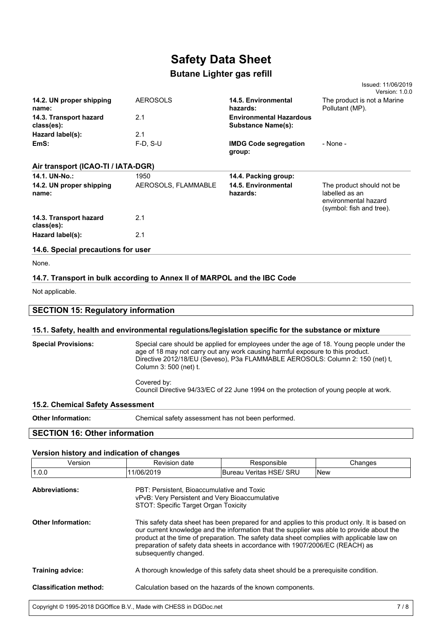# **Butane Lighter gas refill**

|                                      |                     |                                                             | Issued: 11/06/2019<br>Version: 1.0.0                                                            |
|--------------------------------------|---------------------|-------------------------------------------------------------|-------------------------------------------------------------------------------------------------|
| 14.2. UN proper shipping<br>name:    | <b>AEROSOLS</b>     | 14.5. Environmental<br>hazards:                             | The product is not a Marine<br>Pollutant (MP).                                                  |
| 14.3. Transport hazard<br>class(es): | 2.1                 | <b>Environmental Hazardous</b><br><b>Substance Name(s):</b> |                                                                                                 |
| Hazard label(s):                     | 2.1                 |                                                             |                                                                                                 |
| EmS:                                 | $F-D. S-U$          | <b>IMDG Code segregation</b><br>group:                      | - None -                                                                                        |
| Air transport (ICAO-TI / IATA-DGR)   |                     |                                                             |                                                                                                 |
| 14.1. UN-No.:                        | 1950                | 14.4. Packing group:                                        |                                                                                                 |
| 14.2. UN proper shipping<br>name:    | AEROSOLS, FLAMMABLE | 14.5. Environmental<br>hazards:                             | The product should not be<br>labelled as an<br>environmental hazard<br>(symbol: fish and tree). |
| 14.3. Transport hazard<br>class(es): | 2.1                 |                                                             |                                                                                                 |
| Hazard label(s):                     | 2.1                 |                                                             |                                                                                                 |
| 14.6. Special precautions for user   |                     |                                                             |                                                                                                 |

None.

#### **14.7. Transport in bulk according to Annex II of MARPOL and the IBC Code**

Not applicable.

| <b>SECTION 15: Regulatory information</b>                                                            |                                                                                          |  |  |  |
|------------------------------------------------------------------------------------------------------|------------------------------------------------------------------------------------------|--|--|--|
| 15.1. Safety, health and environmental regulations/legislation specific for the substance or mixture |                                                                                          |  |  |  |
| <b>Special Provisions:</b>                                                                           | Special care should be applied for employees under the age of 18. Young people under the |  |  |  |

|                                  | age of 18 may not carry out any work causing harmful exposure to this product.<br>Directive 2012/18/EU (Seveso), P3a FLAMMABLE AEROSOLS: Column 2: 150 (net) t,<br>Column 3: 500 (net) t. |
|----------------------------------|-------------------------------------------------------------------------------------------------------------------------------------------------------------------------------------------|
|                                  | Covered by:<br>Council Directive 94/33/EC of 22 June 1994 on the protection of young people at work.                                                                                      |
| 15.2. Chemical Safety Assessment |                                                                                                                                                                                           |
|                                  |                                                                                                                                                                                           |

**Other Information:** Chemical safety assessment has not been performed.

## **SECTION 16: Other information**

#### **Version history and indication of changes**

| Version                       | Revision date                                                                                                                                                                                                                                                                                                                                                                                    | Responsible             | Changes    |
|-------------------------------|--------------------------------------------------------------------------------------------------------------------------------------------------------------------------------------------------------------------------------------------------------------------------------------------------------------------------------------------------------------------------------------------------|-------------------------|------------|
| 1.0.0                         | 11/06/2019                                                                                                                                                                                                                                                                                                                                                                                       | Bureau Veritas HSE/ SRU | <b>New</b> |
| <b>Abbreviations:</b>         | PBT: Persistent. Bioaccumulative and Toxic<br>vPvB: Very Persistent and Very Bioaccumulative<br>STOT: Specific Target Organ Toxicity                                                                                                                                                                                                                                                             |                         |            |
| <b>Other Information:</b>     | This safety data sheet has been prepared for and applies to this product only. It is based on<br>our current knowledge and the information that the supplier was able to provide about the<br>product at the time of preparation. The safety data sheet complies with applicable law on<br>preparation of safety data sheets in accordance with 1907/2006/EC (REACH) as<br>subsequently changed. |                         |            |
| <b>Training advice:</b>       | A thorough knowledge of this safety data sheet should be a prerequisite condition.                                                                                                                                                                                                                                                                                                               |                         |            |
| <b>Classification method:</b> | Calculation based on the hazards of the known components.                                                                                                                                                                                                                                                                                                                                        |                         |            |
|                               |                                                                                                                                                                                                                                                                                                                                                                                                  |                         |            |

Copyright © 1995-2018 DGOffice B.V., Made with CHESS in DGDoc.net 7/8